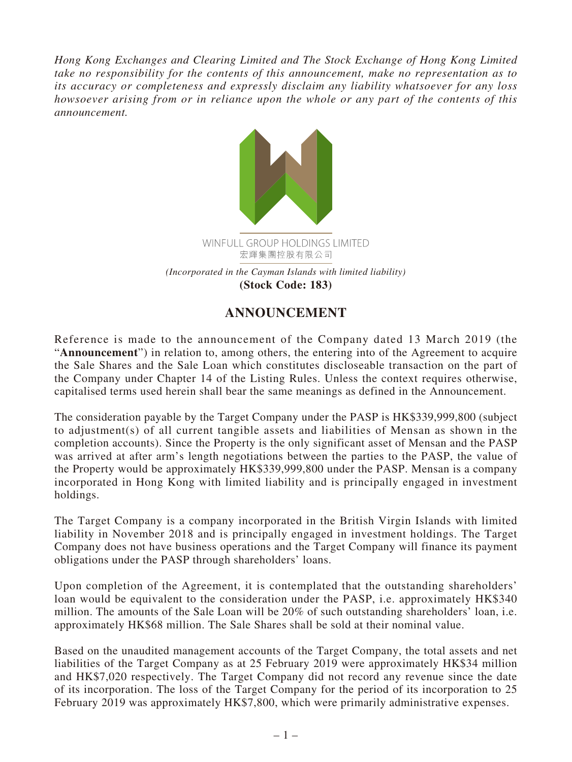*Hong Kong Exchanges and Clearing Limited and The Stock Exchange of Hong Kong Limited take no responsibility for the contents of this announcement, make no representation as to its accuracy or completeness and expressly disclaim any liability whatsoever for any loss howsoever arising from or in reliance upon the whole or any part of the contents of this announcement.*



## **ANNOUNCEMENT**

Reference is made to the announcement of the Company dated 13 March 2019 (the "**Announcement**") in relation to, among others, the entering into of the Agreement to acquire the Sale Shares and the Sale Loan which constitutes discloseable transaction on the part of the Company under Chapter 14 of the Listing Rules. Unless the context requires otherwise, capitalised terms used herein shall bear the same meanings as defined in the Announcement.

The consideration payable by the Target Company under the PASP is HK\$339,999,800 (subject to adjustment(s) of all current tangible assets and liabilities of Mensan as shown in the completion accounts). Since the Property is the only significant asset of Mensan and the PASP was arrived at after arm's length negotiations between the parties to the PASP, the value of the Property would be approximately HK\$339,999,800 under the PASP. Mensan is a company incorporated in Hong Kong with limited liability and is principally engaged in investment holdings.

The Target Company is a company incorporated in the British Virgin Islands with limited liability in November 2018 and is principally engaged in investment holdings. The Target Company does not have business operations and the Target Company will finance its payment obligations under the PASP through shareholders' loans.

Upon completion of the Agreement, it is contemplated that the outstanding shareholders' loan would be equivalent to the consideration under the PASP, i.e. approximately HK\$340 million. The amounts of the Sale Loan will be 20% of such outstanding shareholders' loan, i.e. approximately HK\$68 million. The Sale Shares shall be sold at their nominal value.

Based on the unaudited management accounts of the Target Company, the total assets and net liabilities of the Target Company as at 25 February 2019 were approximately HK\$34 million and HK\$7,020 respectively. The Target Company did not record any revenue since the date of its incorporation. The loss of the Target Company for the period of its incorporation to 25 February 2019 was approximately HK\$7,800, which were primarily administrative expenses.